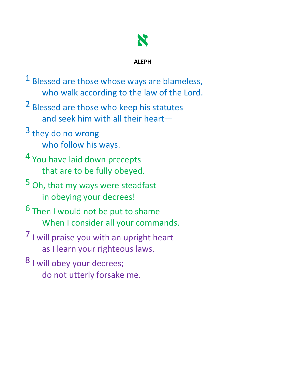

**ALEPH**

- <sup>1</sup> Blessed are those whose ways are blameless, who walk according to the law of the Lord.
- 2 Blessed are those who keep his statutes and seek him with all their heart—
- $3$  they do no wrong who follow his ways.
- 4 You have laid down precepts that are to be fully obeyed.
- 5 Oh, that my ways were steadfast in obeying your decrees!
- 6 Then I would not be put to shame When I consider all your commands.
- $<sup>7</sup>$  I will praise you with an upright heart</sup> as I learn your righteous laws.
- 8 I will obey your decrees; do not utterly forsake me.